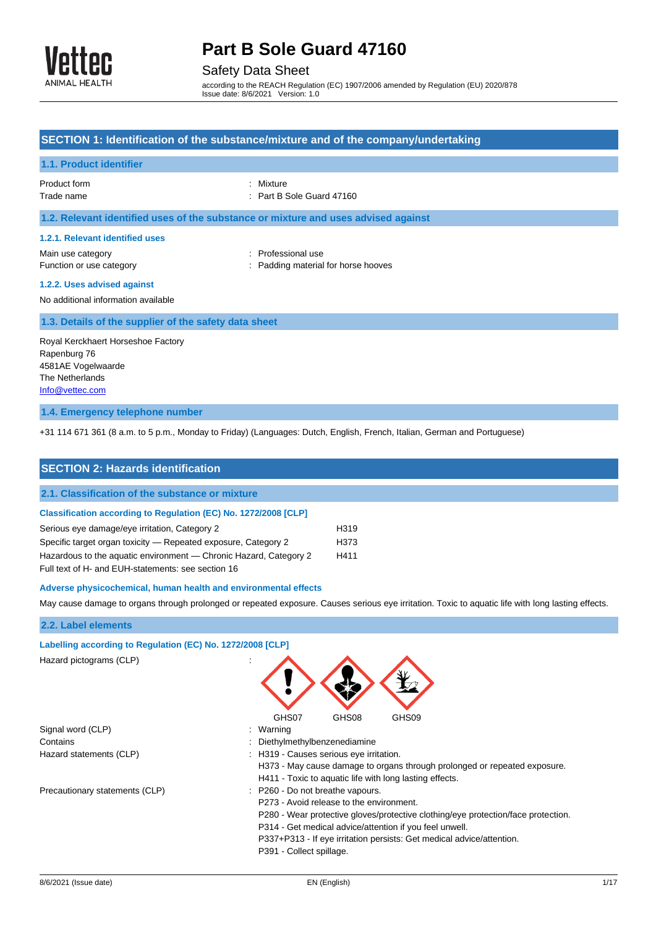

### Safety Data Sheet

according to the REACH Regulation (EC) 1907/2006 amended by Regulation (EU) 2020/878 Issue date: 8/6/2021 Version: 1.0

### **SECTION 1: Identification of the substance/mixture and of the company/undertaking 1.1. Product identifier** Product form : Nixture : Mixture Trade name : Part B Sole Guard 47160 **1.2. Relevant identified uses of the substance or mixture and uses advised against 1.2.1. Relevant identified uses** Main use category **interest and the COV** and the Professional use Function or use category **Example 20** Function or use category **in the stategory** of  $\cdot$  Padding material for horse hooves **1.2.2. Uses advised against** No additional information available **1.3. Details of the supplier of the safety data sheet** Royal Kerckhaert Horseshoe Factory Rapenburg 76 4581AE Vogelwaarde The Netherlands

[Info@vettec.com](mailto:Info@vettec.com)

#### **1.4. Emergency telephone number**

+31 114 671 361 (8 a.m. to 5 p.m., Monday to Friday) (Languages: Dutch, English, French, Italian, German and Portuguese)

| <b>SECTION 2: Hazards identification</b>                                                                                                           |                  |  |
|----------------------------------------------------------------------------------------------------------------------------------------------------|------------------|--|
| 2.1. Classification of the substance or mixture                                                                                                    |                  |  |
| Classification according to Regulation (EC) No. 1272/2008 [CLP]                                                                                    |                  |  |
| Serious eye damage/eye irritation, Category 2                                                                                                      | H319             |  |
| Specific target organ toxicity — Repeated exposure, Category 2                                                                                     | H <sub>373</sub> |  |
| Hazardous to the aquatic environment — Chronic Hazard, Category 2<br>H411                                                                          |                  |  |
| Full text of H- and EUH-statements: see section 16                                                                                                 |                  |  |
| Adverse physicochemical, human health and environmental effects                                                                                    |                  |  |
| May cause damage to organs through prolonged or repeated exposure. Causes serious eye irritation. Toxic to aquatic life with long lasting effects. |                  |  |

#### **2.2. Label elements**

| Labelling according to Regulation (EC) No. 1272/2008 [CLP] |                                                                                   |
|------------------------------------------------------------|-----------------------------------------------------------------------------------|
| Hazard pictograms (CLP)                                    |                                                                                   |
|                                                            | GHS07<br>GHS09<br>GHS08                                                           |
| Signal word (CLP)                                          | : Warning                                                                         |
| Contains                                                   | : Diethylmethylbenzenediamine                                                     |
| Hazard statements (CLP)                                    | : H319 - Causes serious eye irritation.                                           |
|                                                            | H373 - May cause damage to organs through prolonged or repeated exposure.         |
|                                                            | H411 - Toxic to aquatic life with long lasting effects.                           |
| Precautionary statements (CLP)                             | : P260 - Do not breathe vapours.                                                  |
|                                                            | P273 - Avoid release to the environment.                                          |
|                                                            | P280 - Wear protective gloves/protective clothing/eye protection/face protection. |
|                                                            | P314 - Get medical advice/attention if you feel unwell.                           |
|                                                            | P337+P313 - If eye irritation persists: Get medical advice/attention.             |
|                                                            | P391 - Collect spillage.                                                          |
|                                                            |                                                                                   |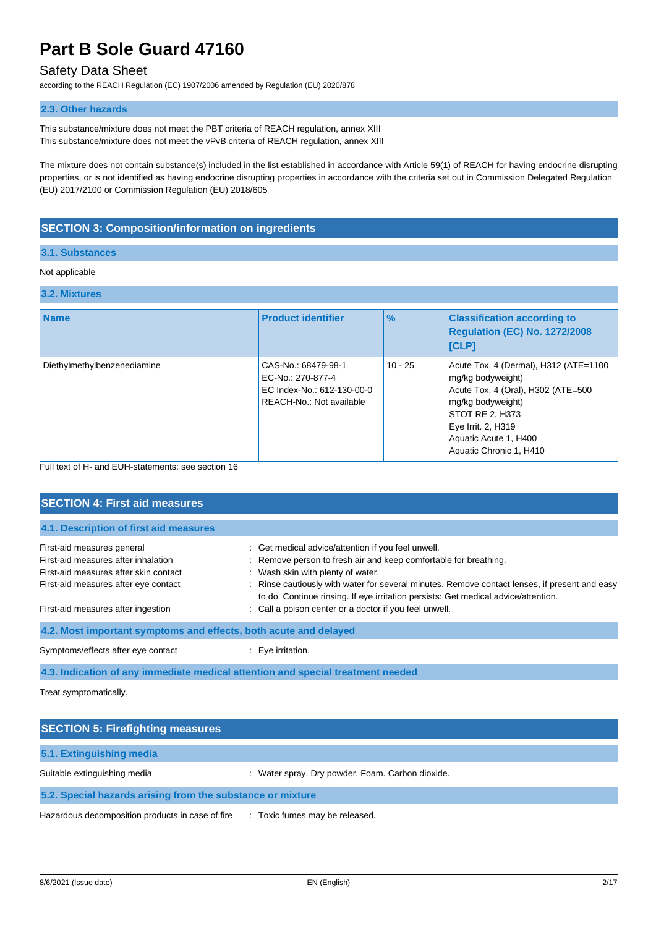### Safety Data Sheet

according to the REACH Regulation (EC) 1907/2006 amended by Regulation (EU) 2020/878

#### **2.3. Other hazards**

This substance/mixture does not meet the PBT criteria of REACH regulation, annex XIII This substance/mixture does not meet the vPvB criteria of REACH regulation, annex XIII

The mixture does not contain substance(s) included in the list established in accordance with Article 59(1) of REACH for having endocrine disrupting properties, or is not identified as having endocrine disrupting properties in accordance with the criteria set out in Commission Delegated Regulation (EU) 2017/2100 or Commission Regulation (EU) 2018/605

### **SECTION 3: Composition/information on ingredients**

#### **3.1. Substances**

#### Not applicable

## **3.2. Mixtures**

| <b>J.Z. MIALUIES</b>        |                                                                                                    |               |                                                                                                                                                                                                                    |
|-----------------------------|----------------------------------------------------------------------------------------------------|---------------|--------------------------------------------------------------------------------------------------------------------------------------------------------------------------------------------------------------------|
| <b>Name</b>                 | <b>Product identifier</b>                                                                          | $\frac{9}{6}$ | <b>Classification according to</b><br>Regulation (EC) No. 1272/2008<br>[CLP]                                                                                                                                       |
| Diethylmethylbenzenediamine | CAS-No.: 68479-98-1<br>EC-No.: 270-877-4<br>EC Index-No.: 612-130-00-0<br>REACH-No.: Not available | $10 - 25$     | Acute Tox. 4 (Dermal), H312 (ATE=1100<br>mg/kg bodyweight)<br>Acute Tox. 4 (Oral), H302 (ATE=500<br>mg/kg bodyweight)<br>STOT RE 2, H373<br>Eye Irrit. 2, H319<br>Aquatic Acute 1, H400<br>Aquatic Chronic 1, H410 |

Full text of H- and EUH-statements: see section 16

| <b>SECTION 4: First aid measures</b>                                            |                                                                                                                                                                                     |  |
|---------------------------------------------------------------------------------|-------------------------------------------------------------------------------------------------------------------------------------------------------------------------------------|--|
| 4.1. Description of first aid measures                                          |                                                                                                                                                                                     |  |
| First-aid measures general                                                      | : Get medical advice/attention if you feel unwell.                                                                                                                                  |  |
| First-aid measures after inhalation                                             | : Remove person to fresh air and keep comfortable for breathing.                                                                                                                    |  |
| First-aid measures after skin contact                                           | : Wash skin with plenty of water.                                                                                                                                                   |  |
| First-aid measures after eye contact                                            | : Rinse cautiously with water for several minutes. Remove contact lenses, if present and easy<br>to do. Continue rinsing. If eye irritation persists: Get medical advice/attention. |  |
| First-aid measures after ingestion                                              | : Call a poison center or a doctor if you feel unwell.                                                                                                                              |  |
| 4.2. Most important symptoms and effects, both acute and delayed                |                                                                                                                                                                                     |  |
| Symptoms/effects after eye contact                                              | $\therefore$ Eve irritation.                                                                                                                                                        |  |
| 4.3. Indication of any immediate medical attention and special treatment needed |                                                                                                                                                                                     |  |

Treat symptomatically.

| <b>SECTION 5: Firefighting measures</b>                    |                                                  |  |
|------------------------------------------------------------|--------------------------------------------------|--|
| 5.1. Extinguishing media                                   |                                                  |  |
| Suitable extinguishing media                               | : Water spray. Dry powder. Foam. Carbon dioxide. |  |
| 5.2. Special hazards arising from the substance or mixture |                                                  |  |
| Hazardous decomposition products in case of fire           | : Toxic fumes may be released.                   |  |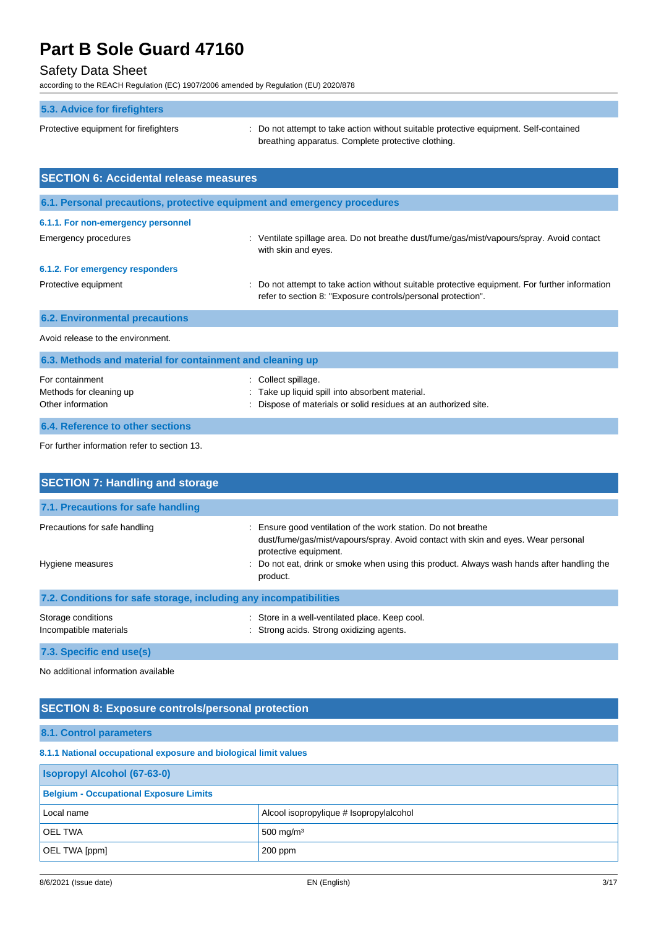### Safety Data Sheet

according to the REACH Regulation (EC) 1907/2006 amended by Regulation (EU) 2020/878

| 5.3. Advice for firefighters                                             |                                                                                                                                                              |
|--------------------------------------------------------------------------|--------------------------------------------------------------------------------------------------------------------------------------------------------------|
| Protective equipment for firefighters                                    | Do not attempt to take action without suitable protective equipment. Self-contained<br>breathing apparatus. Complete protective clothing.                    |
| <b>SECTION 6: Accidental release measures</b>                            |                                                                                                                                                              |
| 6.1. Personal precautions, protective equipment and emergency procedures |                                                                                                                                                              |
| 6.1.1. For non-emergency personnel                                       |                                                                                                                                                              |
| <b>Emergency procedures</b>                                              | Ventilate spillage area. Do not breathe dust/fume/gas/mist/vapours/spray. Avoid contact<br>with skin and eyes.                                               |
| 6.1.2. For emergency responders                                          |                                                                                                                                                              |
| Protective equipment                                                     | Do not attempt to take action without suitable protective equipment. For further information<br>refer to section 8: "Exposure controls/personal protection". |
| <b>6.2. Environmental precautions</b>                                    |                                                                                                                                                              |
| Avoid release to the environment.                                        |                                                                                                                                                              |
| 6.3. Methods and material for containment and cleaning up                |                                                                                                                                                              |
| For containment<br>Methods for cleaning up<br>Other information          | Collect spillage.<br>Take up liquid spill into absorbent material.<br>Dispose of materials or solid residues at an authorized site.                          |
| <b>6.4. Reference to other sections</b>                                  |                                                                                                                                                              |

For further information refer to section 13.

| <b>SECTION 7: Handling and storage</b>                            |                                                                                                                                                                                                                                                                                        |
|-------------------------------------------------------------------|----------------------------------------------------------------------------------------------------------------------------------------------------------------------------------------------------------------------------------------------------------------------------------------|
| 7.1. Precautions for safe handling                                |                                                                                                                                                                                                                                                                                        |
| Precautions for safe handling<br>Hygiene measures                 | Ensure good ventilation of the work station. Do not breathe<br>÷<br>dust/fume/gas/mist/vapours/spray. Avoid contact with skin and eyes. Wear personal<br>protective equipment.<br>Do not eat, drink or smoke when using this product. Always wash hands after handling the<br>product. |
| 7.2. Conditions for safe storage, including any incompatibilities |                                                                                                                                                                                                                                                                                        |
| Storage conditions<br>Incompatible materials                      | : Store in a well-ventilated place. Keep cool.<br>: Strong acids. Strong oxidizing agents.                                                                                                                                                                                             |
| 7.3. Specific end use(s)                                          |                                                                                                                                                                                                                                                                                        |

No additional information available

### **SECTION 8: Exposure controls/personal protection**

### **8.1. Control parameters**

### **8.1.1 National occupational exposure and biological limit values**

| <b>Isopropyl Alcohol (67-63-0)</b>            |                                         |
|-----------------------------------------------|-----------------------------------------|
| <b>Belgium - Occupational Exposure Limits</b> |                                         |
| Local name                                    | Alcool isopropylique # Isopropylalcohol |
| <b>OEL TWA</b>                                | 500 mg/m <sup>3</sup>                   |
| OEL TWA [ppm]                                 | $200$ ppm                               |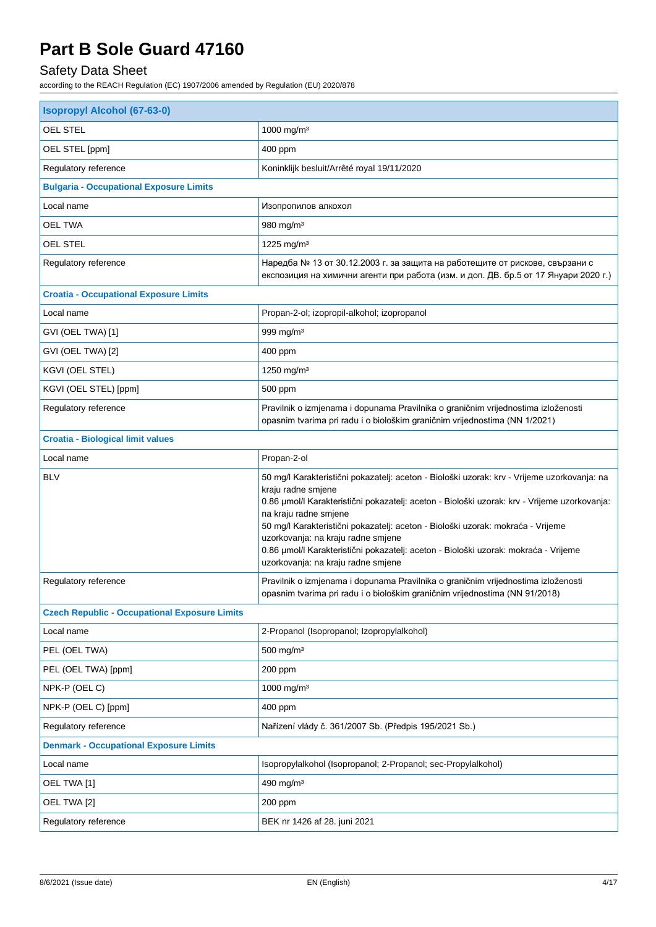## Safety Data Sheet

| <b>Isopropyl Alcohol (67-63-0)</b>                   |                                                                                                                                                                                                                                                                                                                                                                                                                                                                                                  |  |
|------------------------------------------------------|--------------------------------------------------------------------------------------------------------------------------------------------------------------------------------------------------------------------------------------------------------------------------------------------------------------------------------------------------------------------------------------------------------------------------------------------------------------------------------------------------|--|
| OEL STEL                                             | 1000 mg/m <sup>3</sup>                                                                                                                                                                                                                                                                                                                                                                                                                                                                           |  |
| OEL STEL [ppm]                                       | 400 ppm                                                                                                                                                                                                                                                                                                                                                                                                                                                                                          |  |
| Regulatory reference                                 | Koninklijk besluit/Arrêté royal 19/11/2020                                                                                                                                                                                                                                                                                                                                                                                                                                                       |  |
| <b>Bulgaria - Occupational Exposure Limits</b>       |                                                                                                                                                                                                                                                                                                                                                                                                                                                                                                  |  |
| Local name                                           | Изопропилов алкохол                                                                                                                                                                                                                                                                                                                                                                                                                                                                              |  |
| <b>OEL TWA</b>                                       | 980 mg/m <sup>3</sup>                                                                                                                                                                                                                                                                                                                                                                                                                                                                            |  |
| OEL STEL                                             | 1225 mg/m <sup>3</sup>                                                                                                                                                                                                                                                                                                                                                                                                                                                                           |  |
| Regulatory reference                                 | Наредба № 13 от 30.12.2003 г. за защита на работещите от рискове, свързани с<br>експозиция на химични агенти при работа (изм. и доп. ДВ. бр.5 от 17 Януари 2020 г.)                                                                                                                                                                                                                                                                                                                              |  |
| <b>Croatia - Occupational Exposure Limits</b>        |                                                                                                                                                                                                                                                                                                                                                                                                                                                                                                  |  |
| Local name                                           | Propan-2-ol; izopropil-alkohol; izopropanol                                                                                                                                                                                                                                                                                                                                                                                                                                                      |  |
| GVI (OEL TWA) [1]                                    | 999 mg/m <sup>3</sup>                                                                                                                                                                                                                                                                                                                                                                                                                                                                            |  |
| GVI (OEL TWA) [2]                                    | 400 ppm                                                                                                                                                                                                                                                                                                                                                                                                                                                                                          |  |
| KGVI (OEL STEL)                                      | 1250 mg/m <sup>3</sup>                                                                                                                                                                                                                                                                                                                                                                                                                                                                           |  |
| KGVI (OEL STEL) [ppm]                                | 500 ppm                                                                                                                                                                                                                                                                                                                                                                                                                                                                                          |  |
| Regulatory reference                                 | Pravilnik o izmjenama i dopunama Pravilnika o graničnim vrijednostima izloženosti<br>opasnim tvarima pri radu i o biološkim graničnim vrijednostima (NN 1/2021)                                                                                                                                                                                                                                                                                                                                  |  |
| <b>Croatia - Biological limit values</b>             |                                                                                                                                                                                                                                                                                                                                                                                                                                                                                                  |  |
| Local name                                           | Propan-2-ol                                                                                                                                                                                                                                                                                                                                                                                                                                                                                      |  |
| <b>BLV</b>                                           | 50 mg/l Karakteristični pokazatelj: aceton - Biološki uzorak: krv - Vrijeme uzorkovanja: na<br>kraju radne smjene<br>0.86 µmol/l Karakteristični pokazatelj: aceton - Biološki uzorak: krv - Vrijeme uzorkovanja:<br>na kraju radne smjene<br>50 mg/l Karakteristični pokazatelj: aceton - Biološki uzorak: mokraća - Vrijeme<br>uzorkovanja: na kraju radne smjene<br>0.86 umol/l Karakteristični pokazatelj: aceton - Biološki uzorak: mokraća - Vrijeme<br>uzorkovanja: na kraju radne smjene |  |
| Regulatory reference                                 | Pravilnik o izmjenama i dopunama Pravilnika o graničnim vrijednostima izloženosti<br>opasnim tvarima pri radu i o biološkim graničnim vrijednostima (NN 91/2018)                                                                                                                                                                                                                                                                                                                                 |  |
| <b>Czech Republic - Occupational Exposure Limits</b> |                                                                                                                                                                                                                                                                                                                                                                                                                                                                                                  |  |
| Local name                                           | 2-Propanol (Isopropanol; Izopropylalkohol)                                                                                                                                                                                                                                                                                                                                                                                                                                                       |  |
| PEL (OEL TWA)                                        | 500 mg/m <sup>3</sup>                                                                                                                                                                                                                                                                                                                                                                                                                                                                            |  |
| PEL (OEL TWA) [ppm]                                  | 200 ppm                                                                                                                                                                                                                                                                                                                                                                                                                                                                                          |  |
| NPK-P (OEL C)                                        | 1000 mg/m <sup>3</sup>                                                                                                                                                                                                                                                                                                                                                                                                                                                                           |  |
| NPK-P (OEL C) [ppm]                                  | 400 ppm                                                                                                                                                                                                                                                                                                                                                                                                                                                                                          |  |
| Regulatory reference                                 | Nařízení vlády č. 361/2007 Sb. (Předpis 195/2021 Sb.)                                                                                                                                                                                                                                                                                                                                                                                                                                            |  |
| <b>Denmark - Occupational Exposure Limits</b>        |                                                                                                                                                                                                                                                                                                                                                                                                                                                                                                  |  |
| Local name                                           | Isopropylalkohol (Isopropanol; 2-Propanol; sec-Propylalkohol)                                                                                                                                                                                                                                                                                                                                                                                                                                    |  |
| OEL TWA [1]                                          | 490 mg/m <sup>3</sup>                                                                                                                                                                                                                                                                                                                                                                                                                                                                            |  |
| OEL TWA [2]                                          | 200 ppm                                                                                                                                                                                                                                                                                                                                                                                                                                                                                          |  |
| Regulatory reference                                 | BEK nr 1426 af 28. juni 2021                                                                                                                                                                                                                                                                                                                                                                                                                                                                     |  |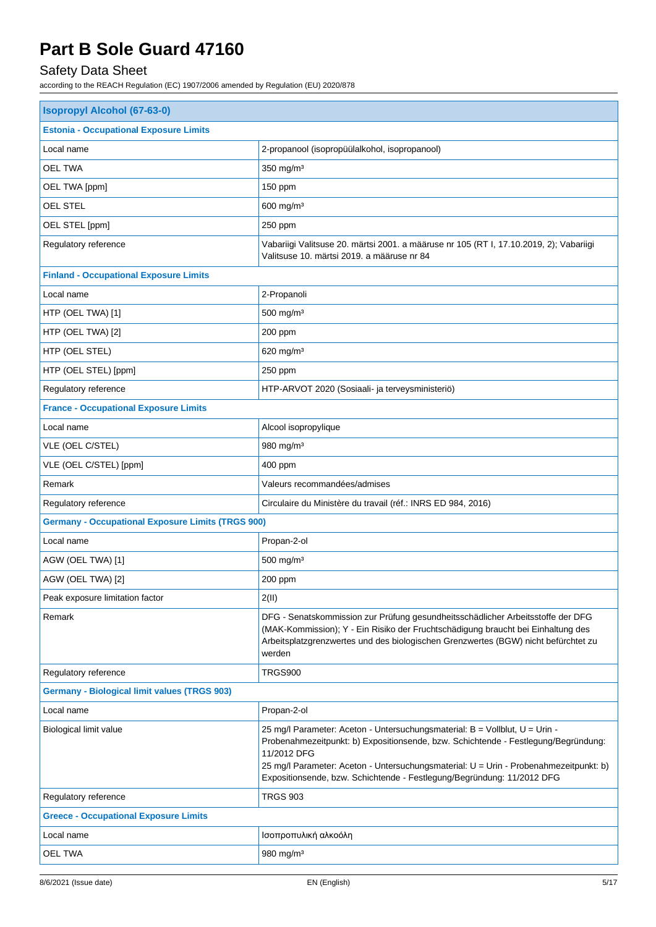## Safety Data Sheet

| <b>Isopropyl Alcohol (67-63-0)</b>                       |                                                                                                                                                                                                                                                                                                                                                     |  |
|----------------------------------------------------------|-----------------------------------------------------------------------------------------------------------------------------------------------------------------------------------------------------------------------------------------------------------------------------------------------------------------------------------------------------|--|
| <b>Estonia - Occupational Exposure Limits</b>            |                                                                                                                                                                                                                                                                                                                                                     |  |
| Local name                                               | 2-propanool (isopropüülalkohol, isopropanool)                                                                                                                                                                                                                                                                                                       |  |
| <b>OEL TWA</b>                                           | 350 mg/m <sup>3</sup>                                                                                                                                                                                                                                                                                                                               |  |
| OEL TWA [ppm]                                            | 150 ppm                                                                                                                                                                                                                                                                                                                                             |  |
| <b>OEL STEL</b>                                          | 600 mg/m <sup>3</sup>                                                                                                                                                                                                                                                                                                                               |  |
| OEL STEL [ppm]                                           | 250 ppm                                                                                                                                                                                                                                                                                                                                             |  |
| Regulatory reference                                     | Vabariigi Valitsuse 20. märtsi 2001. a määruse nr 105 (RT I, 17.10.2019, 2); Vabariigi<br>Valitsuse 10. märtsi 2019. a määruse nr 84                                                                                                                                                                                                                |  |
| <b>Finland - Occupational Exposure Limits</b>            |                                                                                                                                                                                                                                                                                                                                                     |  |
| Local name                                               | 2-Propanoli                                                                                                                                                                                                                                                                                                                                         |  |
| HTP (OEL TWA) [1]                                        | 500 mg/m <sup>3</sup>                                                                                                                                                                                                                                                                                                                               |  |
| HTP (OEL TWA) [2]                                        | 200 ppm                                                                                                                                                                                                                                                                                                                                             |  |
| HTP (OEL STEL)                                           | 620 mg/m <sup>3</sup>                                                                                                                                                                                                                                                                                                                               |  |
| HTP (OEL STEL) [ppm]                                     | 250 ppm                                                                                                                                                                                                                                                                                                                                             |  |
| Regulatory reference                                     | HTP-ARVOT 2020 (Sosiaali- ja terveysministeriö)                                                                                                                                                                                                                                                                                                     |  |
| <b>France - Occupational Exposure Limits</b>             |                                                                                                                                                                                                                                                                                                                                                     |  |
| Local name                                               | Alcool isopropylique                                                                                                                                                                                                                                                                                                                                |  |
| VLE (OEL C/STEL)                                         | 980 mg/m <sup>3</sup>                                                                                                                                                                                                                                                                                                                               |  |
| VLE (OEL C/STEL) [ppm]                                   | 400 ppm                                                                                                                                                                                                                                                                                                                                             |  |
| Remark                                                   | Valeurs recommandées/admises                                                                                                                                                                                                                                                                                                                        |  |
| Regulatory reference                                     | Circulaire du Ministère du travail (réf.: INRS ED 984, 2016)                                                                                                                                                                                                                                                                                        |  |
| <b>Germany - Occupational Exposure Limits (TRGS 900)</b> |                                                                                                                                                                                                                                                                                                                                                     |  |
| Local name                                               | Propan-2-ol                                                                                                                                                                                                                                                                                                                                         |  |
| AGW (OEL TWA) [1]                                        | 500 mg/m <sup>3</sup>                                                                                                                                                                                                                                                                                                                               |  |
| AGW (OEL TWA) [2]                                        | 200 ppm                                                                                                                                                                                                                                                                                                                                             |  |
| Peak exposure limitation factor                          | 2(II)                                                                                                                                                                                                                                                                                                                                               |  |
| Remark                                                   | DFG - Senatskommission zur Prüfung gesundheitsschädlicher Arbeitsstoffe der DFG<br>(MAK-Kommission); Y - Ein Risiko der Fruchtschädigung braucht bei Einhaltung des<br>Arbeitsplatzgrenzwertes und des biologischen Grenzwertes (BGW) nicht befürchtet zu<br>werden                                                                                 |  |
| Regulatory reference                                     | TRGS900                                                                                                                                                                                                                                                                                                                                             |  |
| <b>Germany - Biological limit values (TRGS 903)</b>      |                                                                                                                                                                                                                                                                                                                                                     |  |
| Local name                                               | Propan-2-ol                                                                                                                                                                                                                                                                                                                                         |  |
| Biological limit value                                   | 25 mg/l Parameter: Aceton - Untersuchungsmaterial: B = Vollblut, U = Urin -<br>Probenahmezeitpunkt: b) Expositionsende, bzw. Schichtende - Festlegung/Begründung:<br>11/2012 DFG<br>25 mg/l Parameter: Aceton - Untersuchungsmaterial: U = Urin - Probenahmezeitpunkt: b)<br>Expositionsende, bzw. Schichtende - Festlegung/Begründung: 11/2012 DFG |  |
| Regulatory reference                                     | <b>TRGS 903</b>                                                                                                                                                                                                                                                                                                                                     |  |
| <b>Greece - Occupational Exposure Limits</b>             |                                                                                                                                                                                                                                                                                                                                                     |  |
| Local name                                               | Ισοπροπυλική αλκοόλη                                                                                                                                                                                                                                                                                                                                |  |
| <b>OEL TWA</b>                                           | 980 mg/m $3$                                                                                                                                                                                                                                                                                                                                        |  |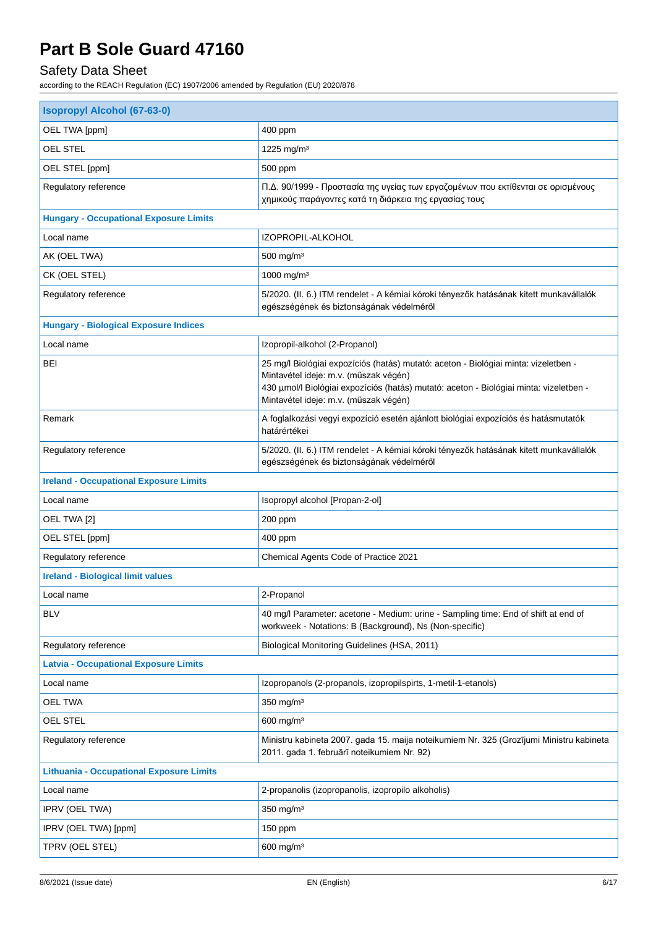## Safety Data Sheet

| <b>Isopropyl Alcohol (67-63-0)</b>              |                                                                                                                                                                                                                                                                 |  |
|-------------------------------------------------|-----------------------------------------------------------------------------------------------------------------------------------------------------------------------------------------------------------------------------------------------------------------|--|
| OEL TWA [ppm]                                   | 400 ppm                                                                                                                                                                                                                                                         |  |
| OEL STEL                                        | 1225 mg/m <sup>3</sup>                                                                                                                                                                                                                                          |  |
| OEL STEL [ppm]                                  | 500 ppm                                                                                                                                                                                                                                                         |  |
| Regulatory reference                            | Π.Δ. 90/1999 - Προστασία της υγείας των εργαζομένων που εκτίθενται σε ορισμένους<br>χημικούς παράγοντες κατά τη διάρκεια της εργασίας τους                                                                                                                      |  |
| <b>Hungary - Occupational Exposure Limits</b>   |                                                                                                                                                                                                                                                                 |  |
| Local name                                      | IZOPROPIL-ALKOHOL                                                                                                                                                                                                                                               |  |
| AK (OEL TWA)                                    | 500 mg/m <sup>3</sup>                                                                                                                                                                                                                                           |  |
| CK (OEL STEL)                                   | 1000 mg/m <sup>3</sup>                                                                                                                                                                                                                                          |  |
| Regulatory reference                            | 5/2020. (II. 6.) ITM rendelet - A kémiai kóroki tényezők hatásának kitett munkavállalók<br>egészségének és biztonságának védelméről                                                                                                                             |  |
| <b>Hungary - Biological Exposure Indices</b>    |                                                                                                                                                                                                                                                                 |  |
| Local name                                      | Izopropil-alkohol (2-Propanol)                                                                                                                                                                                                                                  |  |
| BEI                                             | 25 mg/l Biológiai expozíciós (hatás) mutató: aceton - Biológiai minta: vizeletben -<br>Mintavétel ideje: m.v. (műszak végén)<br>430 µmol/l Biológiai expozíciós (hatás) mutató: aceton - Biológiai minta: vizeletben -<br>Mintavétel ideje: m.v. (műszak végén) |  |
| Remark                                          | A foglalkozási vegyi expozíció esetén ajánlott biológiai expozíciós és hatásmutatók<br>határértékei                                                                                                                                                             |  |
| Regulatory reference                            | 5/2020. (II. 6.) ITM rendelet - A kémiai kóroki tényezők hatásának kitett munkavállalók<br>egészségének és biztonságának védelméről                                                                                                                             |  |
| <b>Ireland - Occupational Exposure Limits</b>   |                                                                                                                                                                                                                                                                 |  |
| Local name                                      | Isopropyl alcohol [Propan-2-ol]                                                                                                                                                                                                                                 |  |
| OEL TWA [2]                                     | 200 ppm                                                                                                                                                                                                                                                         |  |
| OEL STEL [ppm]                                  | 400 ppm                                                                                                                                                                                                                                                         |  |
| Regulatory reference                            | Chemical Agents Code of Practice 2021                                                                                                                                                                                                                           |  |
| <b>Ireland - Biological limit values</b>        |                                                                                                                                                                                                                                                                 |  |
| Local name                                      | 2-Propanol                                                                                                                                                                                                                                                      |  |
| <b>BLV</b>                                      | 40 mg/l Parameter: acetone - Medium: urine - Sampling time: End of shift at end of<br>workweek - Notations: B (Background), Ns (Non-specific)                                                                                                                   |  |
| Regulatory reference                            | Biological Monitoring Guidelines (HSA, 2011)                                                                                                                                                                                                                    |  |
| <b>Latvia - Occupational Exposure Limits</b>    |                                                                                                                                                                                                                                                                 |  |
| Local name                                      | Izopropanols (2-propanols, izopropilspirts, 1-metil-1-etanols)                                                                                                                                                                                                  |  |
| <b>OEL TWA</b>                                  | $350$ mg/m <sup>3</sup>                                                                                                                                                                                                                                         |  |
| OEL STEL                                        | 600 mg/m <sup>3</sup>                                                                                                                                                                                                                                           |  |
| Regulatory reference                            | Ministru kabineta 2007. gada 15. maija noteikumiem Nr. 325 (Grozījumi Ministru kabineta<br>2011. gada 1. februārī noteikumiem Nr. 92)                                                                                                                           |  |
| <b>Lithuania - Occupational Exposure Limits</b> |                                                                                                                                                                                                                                                                 |  |
| Local name                                      | 2-propanolis (izopropanolis, izopropilo alkoholis)                                                                                                                                                                                                              |  |
| IPRV (OEL TWA)                                  | $350$ mg/m <sup>3</sup>                                                                                                                                                                                                                                         |  |
| IPRV (OEL TWA) [ppm]                            | 150 ppm                                                                                                                                                                                                                                                         |  |
| TPRV (OEL STEL)                                 | $600$ mg/m <sup>3</sup>                                                                                                                                                                                                                                         |  |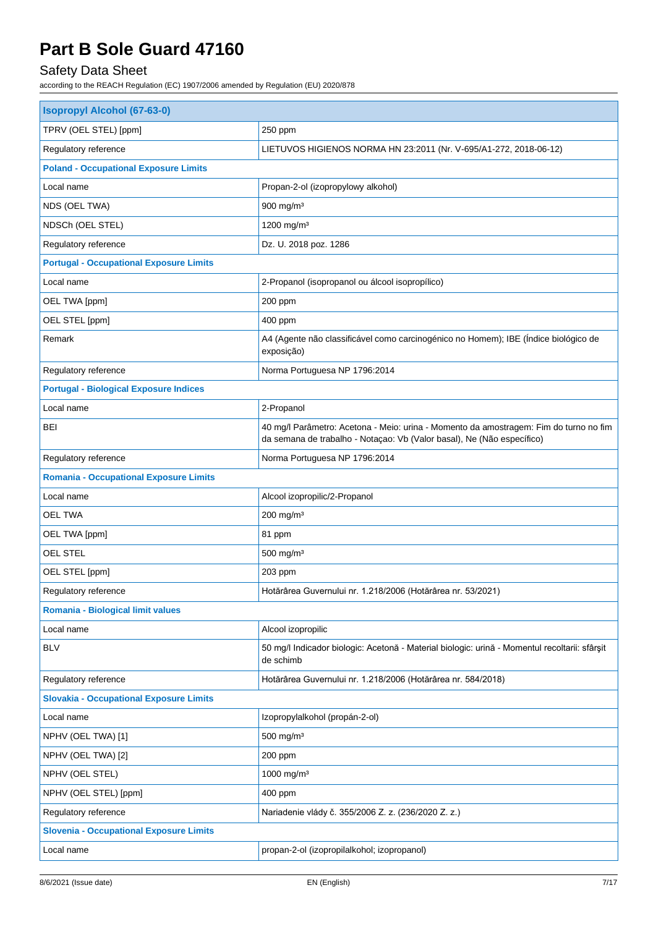## Safety Data Sheet

| 250 ppm<br>LIETUVOS HIGIENOS NORMA HN 23:2011 (Nr. V-695/A1-272, 2018-06-12)<br>Propan-2-ol (izopropylowy alkohol)<br>$900$ mg/m <sup>3</sup><br>1200 mg/m <sup>3</sup><br>Dz. U. 2018 poz. 1286<br>2-Propanol (isopropanol ou álcool isopropílico)<br>200 ppm<br>400 ppm<br>A4 (Agente não classificável como carcinogénico no Homem); IBE (Índice biológico de<br>exposição)<br>Norma Portuguesa NP 1796:2014<br>2-Propanol<br>40 mg/l Parâmetro: Acetona - Meio: urina - Momento da amostragem: Fim do turno no fim<br>da semana de trabalho - Notaçao: Vb (Valor basal), Ne (Não específico)<br>Norma Portuguesa NP 1796:2014<br>Alcool izopropilic/2-Propanol<br>200 mg/m <sup>3</sup><br>81 ppm<br>500 mg/m <sup>3</sup><br>203 ppm<br>Hotărârea Guvernului nr. 1.218/2006 (Hotărârea nr. 53/2021)<br>Alcool izopropilic<br>50 mg/l Indicador biologic: Acetonă - Material biologic: urină - Momentul recoltarii: sfârșit<br>de schimb<br>Hotărârea Guvernului nr. 1.218/2006 (Hotărârea nr. 584/2018) | <b>Isopropyl Alcohol (67-63-0)</b>             |  |  |  |
|--------------------------------------------------------------------------------------------------------------------------------------------------------------------------------------------------------------------------------------------------------------------------------------------------------------------------------------------------------------------------------------------------------------------------------------------------------------------------------------------------------------------------------------------------------------------------------------------------------------------------------------------------------------------------------------------------------------------------------------------------------------------------------------------------------------------------------------------------------------------------------------------------------------------------------------------------------------------------------------------------------------|------------------------------------------------|--|--|--|
|                                                                                                                                                                                                                                                                                                                                                                                                                                                                                                                                                                                                                                                                                                                                                                                                                                                                                                                                                                                                              | TPRV (OEL STEL) [ppm]                          |  |  |  |
|                                                                                                                                                                                                                                                                                                                                                                                                                                                                                                                                                                                                                                                                                                                                                                                                                                                                                                                                                                                                              | Regulatory reference                           |  |  |  |
|                                                                                                                                                                                                                                                                                                                                                                                                                                                                                                                                                                                                                                                                                                                                                                                                                                                                                                                                                                                                              | <b>Poland - Occupational Exposure Limits</b>   |  |  |  |
|                                                                                                                                                                                                                                                                                                                                                                                                                                                                                                                                                                                                                                                                                                                                                                                                                                                                                                                                                                                                              | Local name                                     |  |  |  |
|                                                                                                                                                                                                                                                                                                                                                                                                                                                                                                                                                                                                                                                                                                                                                                                                                                                                                                                                                                                                              | NDS (OEL TWA)                                  |  |  |  |
|                                                                                                                                                                                                                                                                                                                                                                                                                                                                                                                                                                                                                                                                                                                                                                                                                                                                                                                                                                                                              | NDSCh (OEL STEL)                               |  |  |  |
|                                                                                                                                                                                                                                                                                                                                                                                                                                                                                                                                                                                                                                                                                                                                                                                                                                                                                                                                                                                                              | Regulatory reference                           |  |  |  |
|                                                                                                                                                                                                                                                                                                                                                                                                                                                                                                                                                                                                                                                                                                                                                                                                                                                                                                                                                                                                              | <b>Portugal - Occupational Exposure Limits</b> |  |  |  |
|                                                                                                                                                                                                                                                                                                                                                                                                                                                                                                                                                                                                                                                                                                                                                                                                                                                                                                                                                                                                              | Local name                                     |  |  |  |
|                                                                                                                                                                                                                                                                                                                                                                                                                                                                                                                                                                                                                                                                                                                                                                                                                                                                                                                                                                                                              | OEL TWA [ppm]                                  |  |  |  |
|                                                                                                                                                                                                                                                                                                                                                                                                                                                                                                                                                                                                                                                                                                                                                                                                                                                                                                                                                                                                              | OEL STEL [ppm]                                 |  |  |  |
|                                                                                                                                                                                                                                                                                                                                                                                                                                                                                                                                                                                                                                                                                                                                                                                                                                                                                                                                                                                                              | Remark                                         |  |  |  |
|                                                                                                                                                                                                                                                                                                                                                                                                                                                                                                                                                                                                                                                                                                                                                                                                                                                                                                                                                                                                              | Regulatory reference                           |  |  |  |
|                                                                                                                                                                                                                                                                                                                                                                                                                                                                                                                                                                                                                                                                                                                                                                                                                                                                                                                                                                                                              | <b>Portugal - Biological Exposure Indices</b>  |  |  |  |
|                                                                                                                                                                                                                                                                                                                                                                                                                                                                                                                                                                                                                                                                                                                                                                                                                                                                                                                                                                                                              | Local name                                     |  |  |  |
|                                                                                                                                                                                                                                                                                                                                                                                                                                                                                                                                                                                                                                                                                                                                                                                                                                                                                                                                                                                                              | BEI                                            |  |  |  |
|                                                                                                                                                                                                                                                                                                                                                                                                                                                                                                                                                                                                                                                                                                                                                                                                                                                                                                                                                                                                              | Regulatory reference                           |  |  |  |
|                                                                                                                                                                                                                                                                                                                                                                                                                                                                                                                                                                                                                                                                                                                                                                                                                                                                                                                                                                                                              | <b>Romania - Occupational Exposure Limits</b>  |  |  |  |
|                                                                                                                                                                                                                                                                                                                                                                                                                                                                                                                                                                                                                                                                                                                                                                                                                                                                                                                                                                                                              | Local name                                     |  |  |  |
|                                                                                                                                                                                                                                                                                                                                                                                                                                                                                                                                                                                                                                                                                                                                                                                                                                                                                                                                                                                                              | <b>OEL TWA</b>                                 |  |  |  |
|                                                                                                                                                                                                                                                                                                                                                                                                                                                                                                                                                                                                                                                                                                                                                                                                                                                                                                                                                                                                              | OEL TWA [ppm]                                  |  |  |  |
|                                                                                                                                                                                                                                                                                                                                                                                                                                                                                                                                                                                                                                                                                                                                                                                                                                                                                                                                                                                                              | <b>OEL STEL</b>                                |  |  |  |
|                                                                                                                                                                                                                                                                                                                                                                                                                                                                                                                                                                                                                                                                                                                                                                                                                                                                                                                                                                                                              | OEL STEL [ppm]                                 |  |  |  |
|                                                                                                                                                                                                                                                                                                                                                                                                                                                                                                                                                                                                                                                                                                                                                                                                                                                                                                                                                                                                              | Regulatory reference                           |  |  |  |
|                                                                                                                                                                                                                                                                                                                                                                                                                                                                                                                                                                                                                                                                                                                                                                                                                                                                                                                                                                                                              | <b>Romania - Biological limit values</b>       |  |  |  |
|                                                                                                                                                                                                                                                                                                                                                                                                                                                                                                                                                                                                                                                                                                                                                                                                                                                                                                                                                                                                              | Local name                                     |  |  |  |
|                                                                                                                                                                                                                                                                                                                                                                                                                                                                                                                                                                                                                                                                                                                                                                                                                                                                                                                                                                                                              | <b>BLV</b>                                     |  |  |  |
|                                                                                                                                                                                                                                                                                                                                                                                                                                                                                                                                                                                                                                                                                                                                                                                                                                                                                                                                                                                                              | Regulatory reference                           |  |  |  |
|                                                                                                                                                                                                                                                                                                                                                                                                                                                                                                                                                                                                                                                                                                                                                                                                                                                                                                                                                                                                              | <b>Slovakia - Occupational Exposure Limits</b> |  |  |  |
| Izopropylalkohol (propán-2-ol)                                                                                                                                                                                                                                                                                                                                                                                                                                                                                                                                                                                                                                                                                                                                                                                                                                                                                                                                                                               | Local name                                     |  |  |  |
| 500 mg/m <sup>3</sup>                                                                                                                                                                                                                                                                                                                                                                                                                                                                                                                                                                                                                                                                                                                                                                                                                                                                                                                                                                                        | NPHV (OEL TWA) [1]                             |  |  |  |
| 200 ppm                                                                                                                                                                                                                                                                                                                                                                                                                                                                                                                                                                                                                                                                                                                                                                                                                                                                                                                                                                                                      | NPHV (OEL TWA) [2]                             |  |  |  |
| 1000 mg/m <sup>3</sup>                                                                                                                                                                                                                                                                                                                                                                                                                                                                                                                                                                                                                                                                                                                                                                                                                                                                                                                                                                                       | NPHV (OEL STEL)                                |  |  |  |
| 400 ppm                                                                                                                                                                                                                                                                                                                                                                                                                                                                                                                                                                                                                                                                                                                                                                                                                                                                                                                                                                                                      | NPHV (OEL STEL) [ppm]                          |  |  |  |
| Nariadenie vlády č. 355/2006 Z. z. (236/2020 Z. z.)                                                                                                                                                                                                                                                                                                                                                                                                                                                                                                                                                                                                                                                                                                                                                                                                                                                                                                                                                          | Regulatory reference                           |  |  |  |
| <b>Slovenia - Occupational Exposure Limits</b>                                                                                                                                                                                                                                                                                                                                                                                                                                                                                                                                                                                                                                                                                                                                                                                                                                                                                                                                                               |                                                |  |  |  |
| propan-2-ol (izopropilalkohol; izopropanol)                                                                                                                                                                                                                                                                                                                                                                                                                                                                                                                                                                                                                                                                                                                                                                                                                                                                                                                                                                  | Local name                                     |  |  |  |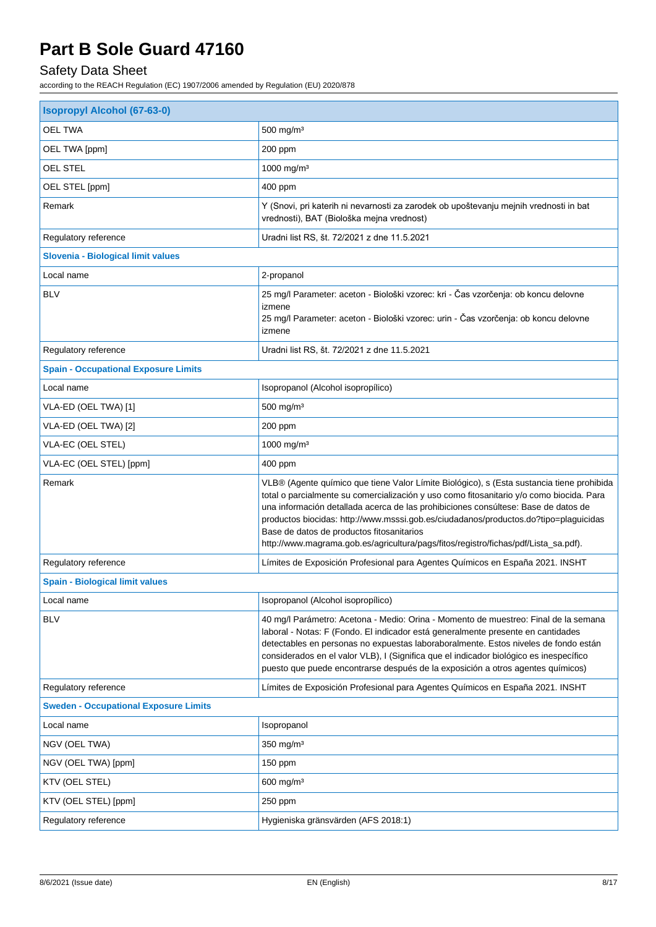## Safety Data Sheet

| <b>Isopropyl Alcohol (67-63-0)</b>           |                                                                                                                                                                                                                                                                                                                                                                                                                                                                                                         |  |  |
|----------------------------------------------|---------------------------------------------------------------------------------------------------------------------------------------------------------------------------------------------------------------------------------------------------------------------------------------------------------------------------------------------------------------------------------------------------------------------------------------------------------------------------------------------------------|--|--|
| <b>OEL TWA</b>                               | 500 mg/m <sup>3</sup>                                                                                                                                                                                                                                                                                                                                                                                                                                                                                   |  |  |
| OEL TWA [ppm]                                | 200 ppm                                                                                                                                                                                                                                                                                                                                                                                                                                                                                                 |  |  |
| <b>OEL STEL</b>                              | 1000 mg/m <sup>3</sup>                                                                                                                                                                                                                                                                                                                                                                                                                                                                                  |  |  |
| OEL STEL [ppm]                               | 400 ppm                                                                                                                                                                                                                                                                                                                                                                                                                                                                                                 |  |  |
| Remark                                       | Y (Snovi, pri katerih ni nevarnosti za zarodek ob upoštevanju mejnih vrednosti in bat<br>vrednosti), BAT (Biološka mejna vrednost)                                                                                                                                                                                                                                                                                                                                                                      |  |  |
| Regulatory reference                         | Uradni list RS, št. 72/2021 z dne 11.5.2021                                                                                                                                                                                                                                                                                                                                                                                                                                                             |  |  |
| Slovenia - Biological limit values           |                                                                                                                                                                                                                                                                                                                                                                                                                                                                                                         |  |  |
| Local name                                   | 2-propanol                                                                                                                                                                                                                                                                                                                                                                                                                                                                                              |  |  |
| <b>BLV</b>                                   | 25 mg/l Parameter: aceton - Biološki vzorec: kri - Čas vzorčenja: ob koncu delovne<br>izmene<br>25 mg/l Parameter: aceton - Biološki vzorec: urin - Čas vzorčenja: ob koncu delovne<br>izmene                                                                                                                                                                                                                                                                                                           |  |  |
| Regulatory reference                         | Uradni list RS, št. 72/2021 z dne 11.5.2021                                                                                                                                                                                                                                                                                                                                                                                                                                                             |  |  |
| <b>Spain - Occupational Exposure Limits</b>  |                                                                                                                                                                                                                                                                                                                                                                                                                                                                                                         |  |  |
| Local name                                   | Isopropanol (Alcohol isopropílico)                                                                                                                                                                                                                                                                                                                                                                                                                                                                      |  |  |
| VLA-ED (OEL TWA) [1]                         | 500 mg/m <sup>3</sup>                                                                                                                                                                                                                                                                                                                                                                                                                                                                                   |  |  |
| VLA-ED (OEL TWA) [2]                         | 200 ppm                                                                                                                                                                                                                                                                                                                                                                                                                                                                                                 |  |  |
| VLA-EC (OEL STEL)                            | 1000 mg/m <sup>3</sup>                                                                                                                                                                                                                                                                                                                                                                                                                                                                                  |  |  |
| VLA-EC (OEL STEL) [ppm]                      | 400 ppm                                                                                                                                                                                                                                                                                                                                                                                                                                                                                                 |  |  |
| Remark                                       | VLB® (Agente químico que tiene Valor Límite Biológico), s (Esta sustancia tiene prohibida<br>total o parcialmente su comercialización y uso como fitosanitario y/o como biocida. Para<br>una información detallada acerca de las prohibiciones consúltese: Base de datos de<br>productos biocidas: http://www.msssi.gob.es/ciudadanos/productos.do?tipo=plaguicidas<br>Base de datos de productos fitosanitarios<br>http://www.magrama.gob.es/agricultura/pags/fitos/registro/fichas/pdf/Lista_sa.pdf). |  |  |
| Regulatory reference                         | Límites de Exposición Profesional para Agentes Químicos en España 2021. INSHT                                                                                                                                                                                                                                                                                                                                                                                                                           |  |  |
| <b>Spain - Biological limit values</b>       |                                                                                                                                                                                                                                                                                                                                                                                                                                                                                                         |  |  |
| Local name                                   | Isopropanol (Alcohol isopropílico)                                                                                                                                                                                                                                                                                                                                                                                                                                                                      |  |  |
| <b>BLV</b>                                   | 40 mg/l Parámetro: Acetona - Medio: Orina - Momento de muestreo: Final de la semana<br>laboral - Notas: F (Fondo. El indicador está generalmente presente en cantidades<br>detectables en personas no expuestas laboraboralmente. Estos niveles de fondo están<br>considerados en el valor VLB), I (Significa que el indicador biológico es inespecífico<br>puesto que puede encontrarse después de la exposición a otros agentes químicos)                                                             |  |  |
| Regulatory reference                         | Límites de Exposición Profesional para Agentes Químicos en España 2021. INSHT                                                                                                                                                                                                                                                                                                                                                                                                                           |  |  |
| <b>Sweden - Occupational Exposure Limits</b> |                                                                                                                                                                                                                                                                                                                                                                                                                                                                                                         |  |  |
| Local name                                   | Isopropanol                                                                                                                                                                                                                                                                                                                                                                                                                                                                                             |  |  |
| NGV (OEL TWA)                                | 350 mg/m <sup>3</sup>                                                                                                                                                                                                                                                                                                                                                                                                                                                                                   |  |  |
| NGV (OEL TWA) [ppm]                          | 150 ppm                                                                                                                                                                                                                                                                                                                                                                                                                                                                                                 |  |  |
| KTV (OEL STEL)                               | 600 mg/m <sup>3</sup>                                                                                                                                                                                                                                                                                                                                                                                                                                                                                   |  |  |
| KTV (OEL STEL) [ppm]                         | 250 ppm                                                                                                                                                                                                                                                                                                                                                                                                                                                                                                 |  |  |
| Regulatory reference                         | Hygieniska gränsvärden (AFS 2018:1)                                                                                                                                                                                                                                                                                                                                                                                                                                                                     |  |  |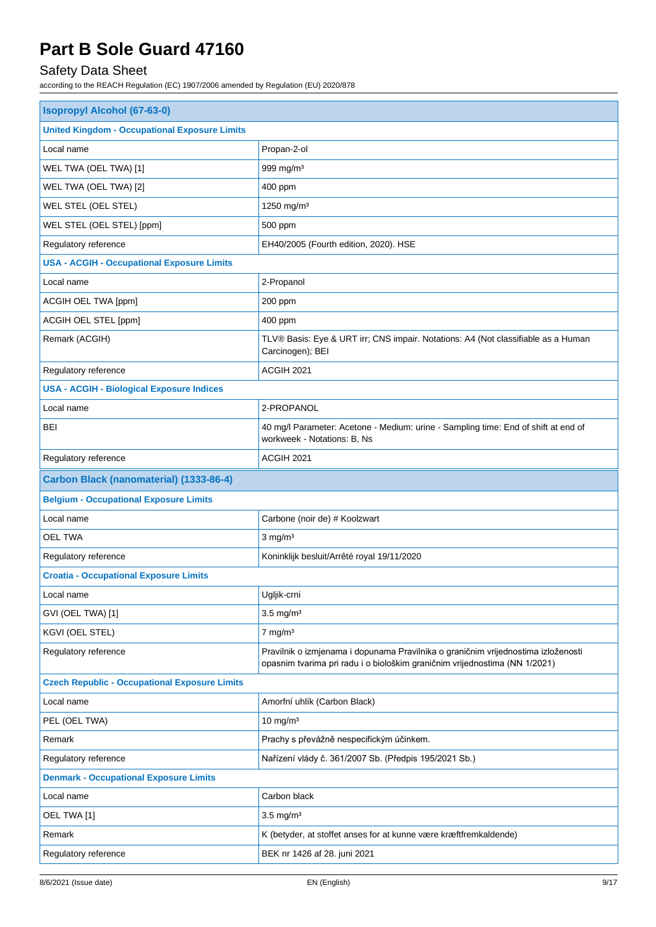## Safety Data Sheet

| <b>Isopropyl Alcohol (67-63-0)</b>                   |                                                                                                                                                                 |  |
|------------------------------------------------------|-----------------------------------------------------------------------------------------------------------------------------------------------------------------|--|
| <b>United Kingdom - Occupational Exposure Limits</b> |                                                                                                                                                                 |  |
| Local name                                           | Propan-2-ol                                                                                                                                                     |  |
| WEL TWA (OEL TWA) [1]                                | 999 mg/m <sup>3</sup>                                                                                                                                           |  |
| WEL TWA (OEL TWA) [2]                                | 400 ppm                                                                                                                                                         |  |
| WEL STEL (OEL STEL)                                  | 1250 mg/m <sup>3</sup>                                                                                                                                          |  |
| WEL STEL (OEL STEL) [ppm]                            | 500 ppm                                                                                                                                                         |  |
| Regulatory reference                                 | EH40/2005 (Fourth edition, 2020). HSE                                                                                                                           |  |
| <b>USA - ACGIH - Occupational Exposure Limits</b>    |                                                                                                                                                                 |  |
| Local name                                           | 2-Propanol                                                                                                                                                      |  |
| ACGIH OEL TWA [ppm]                                  | 200 ppm                                                                                                                                                         |  |
| ACGIH OEL STEL [ppm]                                 | 400 ppm                                                                                                                                                         |  |
| Remark (ACGIH)                                       | TLV® Basis: Eye & URT irr; CNS impair. Notations: A4 (Not classifiable as a Human<br>Carcinogen); BEI                                                           |  |
| Regulatory reference                                 | ACGIH 2021                                                                                                                                                      |  |
| <b>USA - ACGIH - Biological Exposure Indices</b>     |                                                                                                                                                                 |  |
| Local name                                           | 2-PROPANOL                                                                                                                                                      |  |
| <b>BEI</b>                                           | 40 mg/l Parameter: Acetone - Medium: urine - Sampling time: End of shift at end of<br>workweek - Notations: B, Ns                                               |  |
| Regulatory reference                                 | ACGIH 2021                                                                                                                                                      |  |
| Carbon Black (nanomaterial) (1333-86-4)              |                                                                                                                                                                 |  |
| <b>Belgium - Occupational Exposure Limits</b>        |                                                                                                                                                                 |  |
| Local name                                           | Carbone (noir de) # Koolzwart                                                                                                                                   |  |
| <b>OEL TWA</b>                                       | $3$ mg/m <sup>3</sup>                                                                                                                                           |  |
| Regulatory reference                                 | Koninklijk besluit/Arrêté royal 19/11/2020                                                                                                                      |  |
| <b>Croatia - Occupational Exposure Limits</b>        |                                                                                                                                                                 |  |
| Local name                                           | Ugljik-crni                                                                                                                                                     |  |
| GVI (OEL TWA) [1]                                    | $3.5$ mg/m <sup>3</sup>                                                                                                                                         |  |
| KGVI (OEL STEL)                                      | $7$ mg/m $3$                                                                                                                                                    |  |
| Regulatory reference                                 | Pravilnik o izmjenama i dopunama Pravilnika o graničnim vrijednostima izloženosti<br>opasnim tvarima pri radu i o biološkim graničnim vrijednostima (NN 1/2021) |  |
| <b>Czech Republic - Occupational Exposure Limits</b> |                                                                                                                                                                 |  |
| Local name                                           | Amorfní uhlík (Carbon Black)                                                                                                                                    |  |
| PEL (OEL TWA)                                        | $10 \text{ mg/m}^3$                                                                                                                                             |  |
| Remark                                               | Prachy s převážně nespecifickým účinkem.                                                                                                                        |  |
| Regulatory reference                                 | Nařízení vlády č. 361/2007 Sb. (Předpis 195/2021 Sb.)                                                                                                           |  |
| <b>Denmark - Occupational Exposure Limits</b>        |                                                                                                                                                                 |  |
| Local name                                           | Carbon black                                                                                                                                                    |  |
| OEL TWA [1]                                          | $3.5 \text{ mg/m}^3$                                                                                                                                            |  |
| Remark                                               | K (betyder, at stoffet anses for at kunne være kræftfremkaldende)                                                                                               |  |
| Regulatory reference                                 | BEK nr 1426 af 28. juni 2021                                                                                                                                    |  |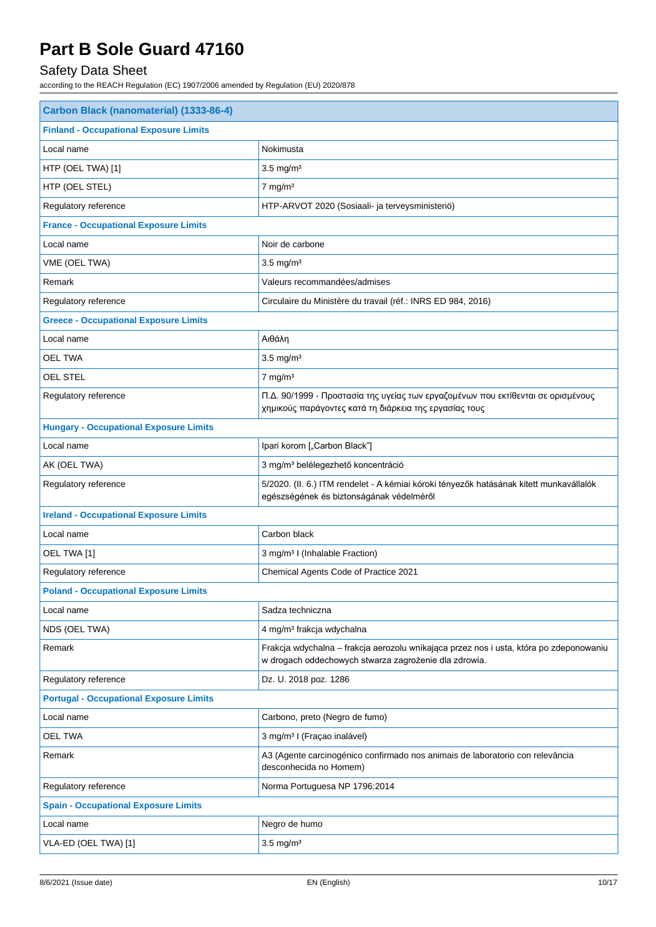## Safety Data Sheet

| Carbon Black (nanomaterial) (1333-86-4)        |                                                                                                                                                 |  |
|------------------------------------------------|-------------------------------------------------------------------------------------------------------------------------------------------------|--|
| <b>Finland - Occupational Exposure Limits</b>  |                                                                                                                                                 |  |
| Local name                                     | Nokimusta                                                                                                                                       |  |
| HTP (OEL TWA) [1]                              | $3.5$ mg/m <sup>3</sup>                                                                                                                         |  |
| HTP (OEL STEL)                                 | $7 \text{ mg/m}^3$                                                                                                                              |  |
| Regulatory reference                           | HTP-ARVOT 2020 (Sosiaali- ja terveysministeriö)                                                                                                 |  |
| <b>France - Occupational Exposure Limits</b>   |                                                                                                                                                 |  |
| Local name                                     | Noir de carbone                                                                                                                                 |  |
| VME (OEL TWA)                                  | $3.5$ mg/m <sup>3</sup>                                                                                                                         |  |
| Remark                                         | Valeurs recommandées/admises                                                                                                                    |  |
| Regulatory reference                           | Circulaire du Ministère du travail (réf.: INRS ED 984, 2016)                                                                                    |  |
| <b>Greece - Occupational Exposure Limits</b>   |                                                                                                                                                 |  |
| Local name                                     | Αιθάλη                                                                                                                                          |  |
| <b>OEL TWA</b>                                 | $3.5 \text{ mg/m}^3$                                                                                                                            |  |
| <b>OEL STEL</b>                                | $7$ mg/m <sup>3</sup>                                                                                                                           |  |
| Regulatory reference                           | Π.Δ. 90/1999 - Προστασία της υγείας των εργαζομένων που εκτίθενται σε ορισμένους<br>χημικούς παράγοντες κατά τη διάρκεια της εργασίας τους      |  |
| <b>Hungary - Occupational Exposure Limits</b>  |                                                                                                                                                 |  |
| Local name                                     | Ipari korom ["Carbon Black"]                                                                                                                    |  |
| AK (OEL TWA)                                   | 3 mg/m <sup>3</sup> belélegezhető koncentráció                                                                                                  |  |
| Regulatory reference                           | 5/2020. (II. 6.) ITM rendelet - A kémiai kóroki tényezők hatásának kitett munkavállalók<br>egészségének és biztonságának védelméről             |  |
| <b>Ireland - Occupational Exposure Limits</b>  |                                                                                                                                                 |  |
| Local name                                     | Carbon black                                                                                                                                    |  |
| OEL TWA [1]                                    | 3 mg/m <sup>3</sup> I (Inhalable Fraction)                                                                                                      |  |
| Regulatory reference                           | Chemical Agents Code of Practice 2021                                                                                                           |  |
| <b>Poland - Occupational Exposure Limits</b>   |                                                                                                                                                 |  |
| Local name                                     | Sadza techniczna                                                                                                                                |  |
| NDS (OEL TWA)                                  | 4 mg/m <sup>3</sup> frakcja wdychalna                                                                                                           |  |
| Remark                                         | Frakcja wdychalna - frakcja aerozolu wnikająca przez nos i usta, która po zdeponowaniu<br>w drogach oddechowych stwarza zagrożenie dla zdrowia. |  |
| Regulatory reference                           | Dz. U. 2018 poz. 1286                                                                                                                           |  |
| <b>Portugal - Occupational Exposure Limits</b> |                                                                                                                                                 |  |
| Local name                                     | Carbono, preto (Negro de fumo)                                                                                                                  |  |
| <b>OEL TWA</b>                                 | 3 mg/m <sup>3</sup> I (Fraçao inalável)                                                                                                         |  |
| Remark                                         | A3 (Agente carcinogénico confirmado nos animais de laboratorio con relevância<br>desconhecida no Homem)                                         |  |
| Regulatory reference                           | Norma Portuguesa NP 1796:2014                                                                                                                   |  |
| <b>Spain - Occupational Exposure Limits</b>    |                                                                                                                                                 |  |
| Local name                                     | Negro de humo                                                                                                                                   |  |
| VLA-ED (OEL TWA) [1]                           | $3.5$ mg/m <sup>3</sup>                                                                                                                         |  |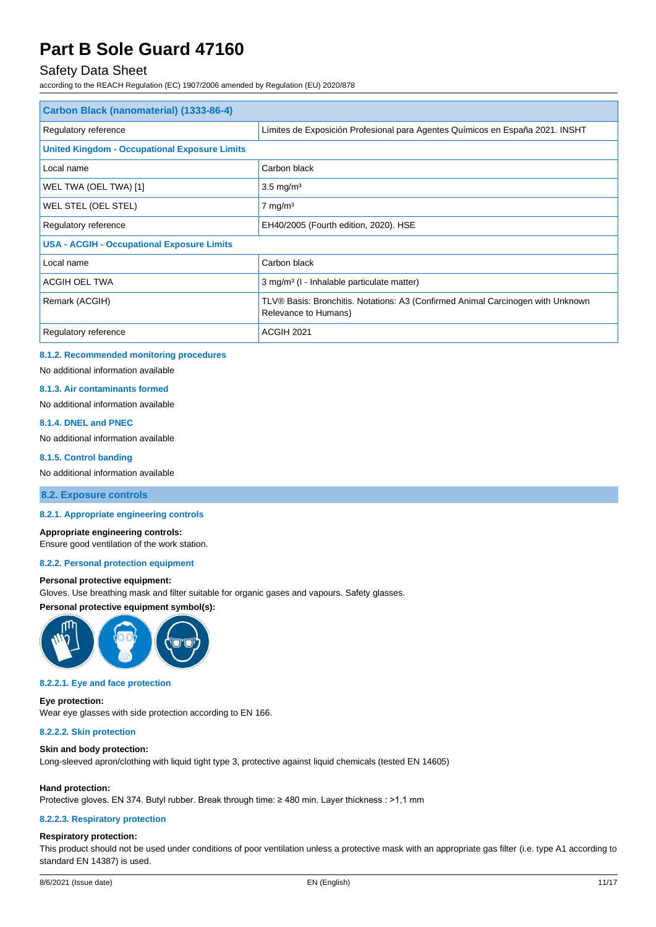### Safety Data Sheet

according to the REACH Regulation (EC) 1907/2006 amended by Regulation (EU) 2020/878

| Carbon Black (nanomaterial) (1333-86-4)              |                                                                                                         |  |  |  |
|------------------------------------------------------|---------------------------------------------------------------------------------------------------------|--|--|--|
| Regulatory reference                                 | Límites de Exposición Profesional para Agentes Químicos en España 2021. INSHT                           |  |  |  |
| <b>United Kingdom - Occupational Exposure Limits</b> |                                                                                                         |  |  |  |
| Local name                                           | Carbon black                                                                                            |  |  |  |
| WEL TWA (OEL TWA) [1]                                | $3.5 \text{ mg/m}^3$                                                                                    |  |  |  |
| WEL STEL (OEL STEL)                                  | $7 \text{ mg/m}^3$                                                                                      |  |  |  |
| Regulatory reference                                 | EH40/2005 (Fourth edition, 2020). HSE                                                                   |  |  |  |
| <b>USA - ACGIH - Occupational Exposure Limits</b>    |                                                                                                         |  |  |  |
| Local name                                           | Carbon black                                                                                            |  |  |  |
| ACGIH OEL TWA                                        | 3 mg/m <sup>3</sup> (I - Inhalable particulate matter)                                                  |  |  |  |
| Remark (ACGIH)                                       | TLV® Basis: Bronchitis. Notations: A3 (Confirmed Animal Carcinogen with Unknown<br>Relevance to Humans) |  |  |  |
| Regulatory reference                                 | ACGIH 2021                                                                                              |  |  |  |

#### **8.1.2. Recommended monitoring procedures**

No additional information available

#### **8.1.3. Air contaminants formed**

No additional information available

**8.1.4. DNEL and PNEC** No additional information available

### **8.1.5. Control banding**

No additional information available

#### **8.2. Exposure controls**

#### **8.2.1. Appropriate engineering controls**

#### **Appropriate engineering controls:**

Ensure good ventilation of the work station.

#### **8.2.2. Personal protection equipment**

#### **Personal protective equipment:**

Gloves. Use breathing mask and filter suitable for organic gases and vapours. Safety glasses.

#### **Personal protective equipment symbol(s):**



#### **8.2.2.1. Eye and face protection**

#### **Eye protection:**

Wear eye glasses with side protection according to EN 166.

### **8.2.2.2. Skin protection**

#### **Skin and body protection:**

Long-sleeved apron/clothing with liquid tight type 3, protective against liquid chemicals (tested EN 14605)

#### **Hand protection:**

Protective gloves. EN 374. Butyl rubber. Break through time: ≥ 480 min. Layer thickness : >1,1 mm

#### **8.2.2.3. Respiratory protection**

#### **Respiratory protection:**

This product should not be used under conditions of poor ventilation unless a protective mask with an appropriate gas filter (i.e. type A1 according to standard EN 14387) is used.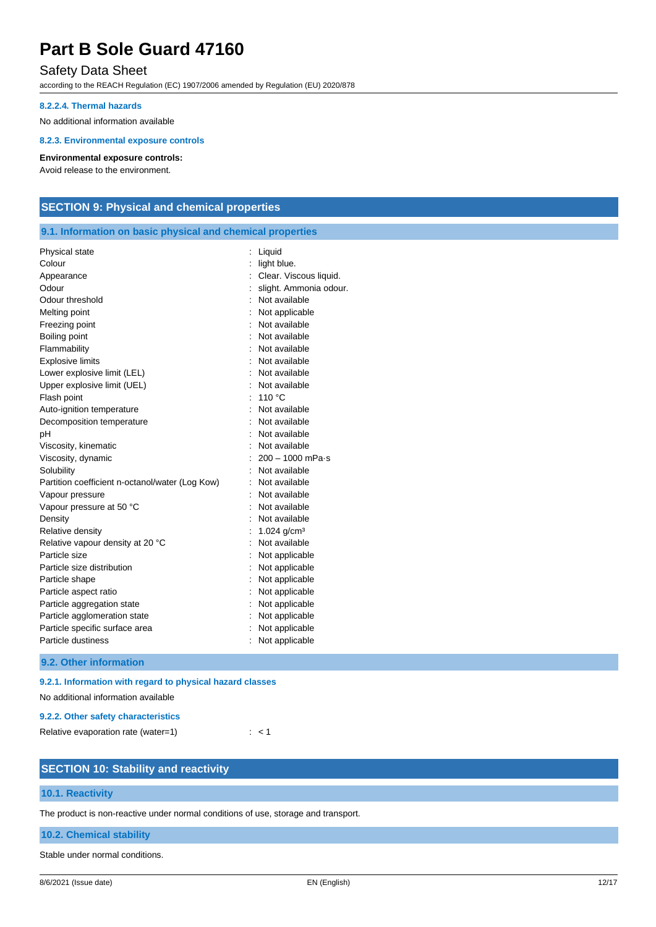### Safety Data Sheet

according to the REACH Regulation (EC) 1907/2006 amended by Regulation (EU) 2020/878

#### **8.2.2.4. Thermal hazards**

No additional information available

### **8.2.3. Environmental exposure controls**

#### **Environmental exposure controls:**

Avoid release to the environment.

### **SECTION 9: Physical and chemical properties**

#### **9.1. Information on basic physical and chemical properties**

| Physical state                                  | Liquid                     |
|-------------------------------------------------|----------------------------|
| Colour                                          | light blue.                |
| Appearance                                      | Clear. Viscous liquid.     |
| Odour                                           | slight. Ammonia odour.     |
| Odour threshold                                 | Not available              |
| Melting point                                   | Not applicable             |
| Freezing point                                  | Not available              |
| Boiling point                                   | Not available              |
| Flammability                                    | Not available              |
| <b>Explosive limits</b>                         | Not available              |
| Lower explosive limit (LEL)                     | Not available              |
| Upper explosive limit (UEL)                     | Not available              |
| Flash point                                     | 110 °C                     |
| Auto-ignition temperature                       | Not available              |
| Decomposition temperature                       | Not available              |
| pH                                              | Not available              |
| Viscosity, kinematic                            | Not available              |
| Viscosity, dynamic                              | $200 - 1000$ mPa $\cdot$ s |
| Solubility                                      | Not available              |
| Partition coefficient n-octanol/water (Log Kow) | Not available              |
| Vapour pressure                                 | Not available              |
| Vapour pressure at 50 °C                        | Not available              |
| Density                                         | Not available              |
| Relative density                                | 1.024 $g/cm3$              |
| Relative vapour density at 20 °C                | Not available              |
| Particle size                                   | Not applicable             |
| Particle size distribution                      | Not applicable             |
| Particle shape                                  | Not applicable             |
| Particle aspect ratio                           | Not applicable             |
| Particle aggregation state                      | Not applicable             |
| Particle agglomeration state                    | Not applicable             |
| Particle specific surface area                  | Not applicable             |
| Particle dustiness                              | Not applicable             |
|                                                 |                            |

#### **9.2. Other information**

#### **9.2.1. Information with regard to physical hazard classes**

No additional information available

### **9.2.2. Other safety characteristics**

Relative evaporation rate (water=1) : < 1

### **SECTION 10: Stability and reactivity**

#### **10.1. Reactivity**

The product is non-reactive under normal conditions of use, storage and transport.

#### **10.2. Chemical stability**

Stable under normal conditions.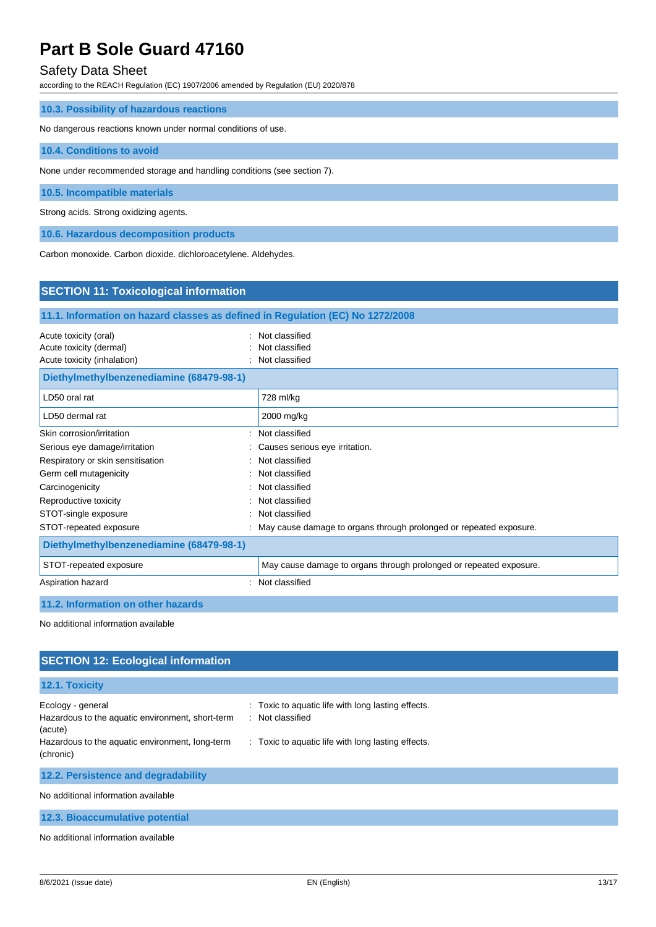### Safety Data Sheet

according to the REACH Regulation (EC) 1907/2006 amended by Regulation (EU) 2020/878

| 10.3. Possibility of hazardous reactions                                |  |  |  |  |
|-------------------------------------------------------------------------|--|--|--|--|
| No dangerous reactions known under normal conditions of use.            |  |  |  |  |
| 10.4. Conditions to avoid                                               |  |  |  |  |
| None under recommended storage and handling conditions (see section 7). |  |  |  |  |
| 10.5. Incompatible materials                                            |  |  |  |  |
| Strong acids. Strong oxidizing agents.                                  |  |  |  |  |
| 10.6. Hazardous decomposition products                                  |  |  |  |  |

Carbon monoxide. Carbon dioxide. dichloroacetylene. Aldehydes.

### **SECTION 11: Toxicological information**

### **11.1. Information on hazard classes as defined in Regulation (EC) No 1272/2008**

| Acute toxicity (oral)       | : Not classified |
|-----------------------------|------------------|
| Acute toxicity (dermal)     | : Not classified |
| Acute toxicity (inhalation) | : Not classified |

| Diethylmethylbenzenediamine (68479-98-1) |                                                                      |  |  |
|------------------------------------------|----------------------------------------------------------------------|--|--|
| LD50 oral rat                            | 728 ml/kg                                                            |  |  |
| LD50 dermal rat                          | 2000 mg/kg                                                           |  |  |
| Skin corrosion/irritation                | Not classified                                                       |  |  |
| Serious eye damage/irritation            | Causes serious eye irritation.                                       |  |  |
| Respiratory or skin sensitisation<br>÷   | Not classified                                                       |  |  |
| Germ cell mutagenicity                   | Not classified                                                       |  |  |
| Carcinogenicity                          | Not classified                                                       |  |  |
| Reproductive toxicity                    | Not classified                                                       |  |  |
| STOT-single exposure                     | Not classified                                                       |  |  |
| STOT-repeated exposure                   | : May cause damage to organs through prolonged or repeated exposure. |  |  |
| Diethylmethylbenzenediamine (68479-98-1) |                                                                      |  |  |
| STOT-repeated exposure                   | May cause damage to organs through prolonged or repeated exposure.   |  |  |
| Aspiration hazard                        | Not classified                                                       |  |  |

### **11.2. Information on other hazards**

No additional information available

### **SECTION 12: Ecological information**

| 12.1. Toxicity                                                                   |                                                                        |
|----------------------------------------------------------------------------------|------------------------------------------------------------------------|
| Ecology - general<br>Hazardous to the aquatic environment, short-term<br>(acute) | : Toxic to aquatic life with long lasting effects.<br>: Not classified |
| Hazardous to the aquatic environment, long-term<br>(chronic)                     | : Toxic to aquatic life with long lasting effects.                     |
| 12.2. Persistence and degradability                                              |                                                                        |
| No additional information available                                              |                                                                        |

**12.3. Bioaccumulative potential**

No additional information available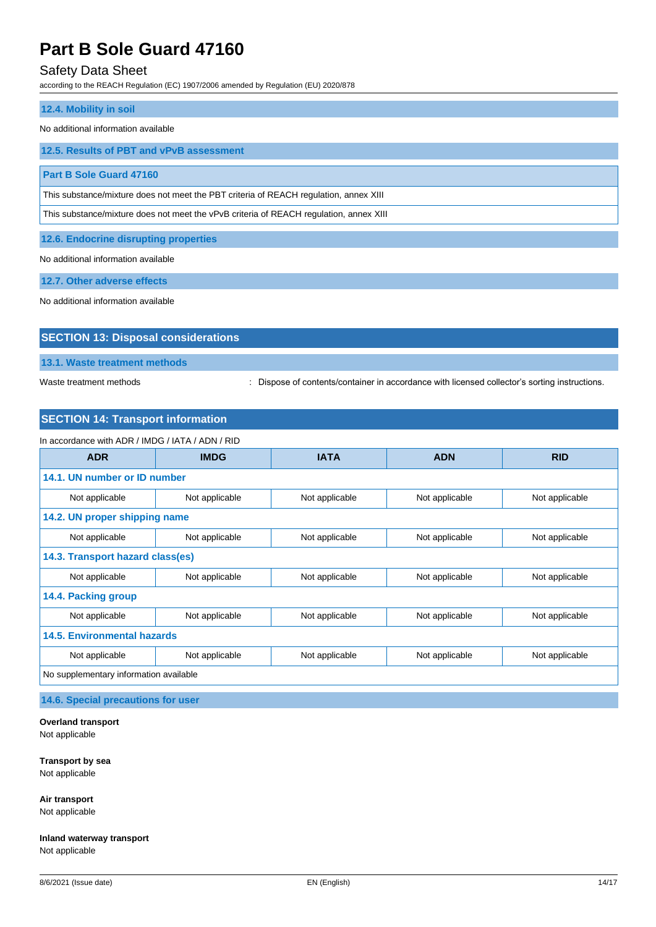### Safety Data Sheet

according to the REACH Regulation (EC) 1907/2006 amended by Regulation (EU) 2020/878

## **12.4. Mobility in soil** No additional information available **12.5. Results of PBT and vPvB assessment Part B Sole Guard 47160** This substance/mixture does not meet the PBT criteria of REACH regulation, annex XIII This substance/mixture does not meet the vPvB criteria of REACH regulation, annex XIII **12.6. Endocrine disrupting properties**

No additional information available

**12.7. Other adverse effects**

No additional information available

## **SECTION 13: Disposal considerations**

**13.1. Waste treatment methods**

Waste treatment methods : Dispose of contents/container in accordance with licensed collector's sorting instructions.

### **SECTION 14: Transport information**

| In accordance with ADR / IMDG / IATA / ADN / RID |                                                                      |                |                |                |  |
|--------------------------------------------------|----------------------------------------------------------------------|----------------|----------------|----------------|--|
| <b>ADR</b>                                       | <b>IMDG</b><br><b>IATA</b><br><b>ADN</b>                             |                | <b>RID</b>     |                |  |
| 14.1. UN number or ID number                     |                                                                      |                |                |                |  |
| Not applicable                                   | Not applicable<br>Not applicable<br>Not applicable<br>Not applicable |                |                |                |  |
| 14.2. UN proper shipping name                    |                                                                      |                |                |                |  |
| Not applicable                                   | Not applicable<br>Not applicable<br>Not applicable<br>Not applicable |                |                |                |  |
| 14.3. Transport hazard class(es)                 |                                                                      |                |                |                |  |
| Not applicable                                   | Not applicable<br>Not applicable<br>Not applicable<br>Not applicable |                |                |                |  |
| 14.4. Packing group                              |                                                                      |                |                |                |  |
| Not applicable                                   | Not applicable                                                       | Not applicable | Not applicable | Not applicable |  |
| <b>14.5. Environmental hazards</b>               |                                                                      |                |                |                |  |
| Not applicable                                   | Not applicable                                                       | Not applicable | Not applicable | Not applicable |  |
| No supplementary information available           |                                                                      |                |                |                |  |

**14.6. Special precautions for user**

#### **Overland transport**

Not applicable

**Transport by sea** Not applicable

**Air transport** Not applicable

**Inland waterway transport** Not applicable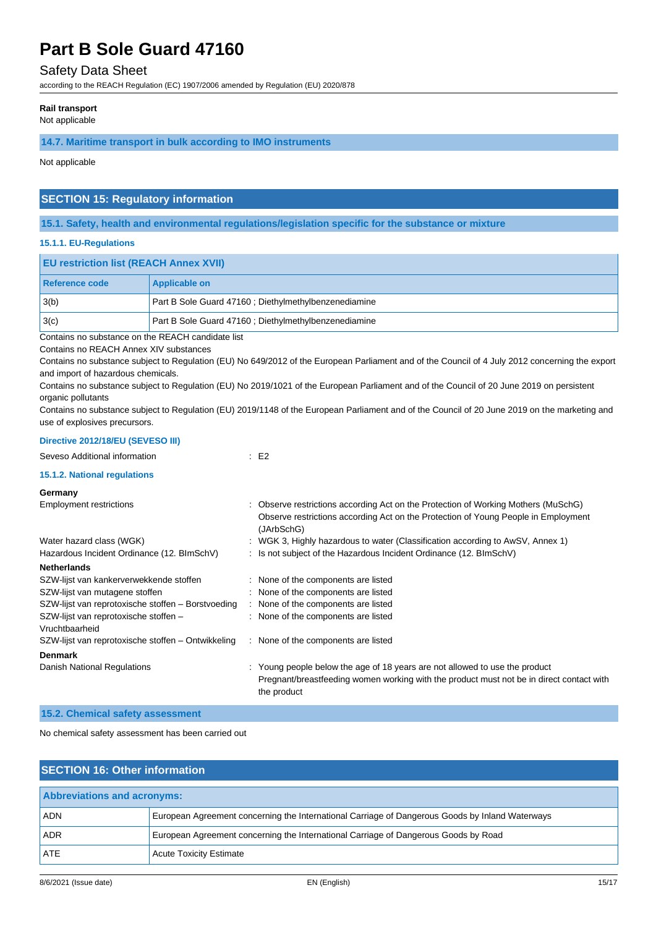### Safety Data Sheet

according to the REACH Regulation (EC) 1907/2006 amended by Regulation (EU) 2020/878

#### **Rail transport**

Not applicable

#### **14.7. Maritime transport in bulk according to IMO instruments**

Not applicable

### **SECTION 15: Regulatory information**

**15.1. Safety, health and environmental regulations/legislation specific for the substance or mixture**

#### **15.1.1. EU-Regulations**

| <b>EU restriction list (REACH Annex XVII)</b> |                                                      |  |
|-----------------------------------------------|------------------------------------------------------|--|
| Reference code                                | <b>Applicable on</b>                                 |  |
| 13(b)                                         | Part B Sole Guard 47160; Diethylmethylbenzenediamine |  |
| 3(c)                                          | Part B Sole Guard 47160; Diethylmethylbenzenediamine |  |

Contains no substance on the REACH candidate list

Contains no REACH Annex XIV substances

Contains no substance subject to Regulation (EU) No 649/2012 of the European Parliament and of the Council of 4 July 2012 concerning the export and import of hazardous chemicals.

Contains no substance subject to Regulation (EU) No 2019/1021 of the European Parliament and of the Council of 20 June 2019 on persistent organic pollutants

Contains no substance subject to Regulation (EU) 2019/1148 of the European Parliament and of the Council of 20 June 2019 on the marketing and use of explosives precursors.

### **Directive 2012/18/EU (SEVESO III)**

| DIFECTIVE ZUTZIT8/EU (SEVESU III)                       |                                                                                                                                                                                        |
|---------------------------------------------------------|----------------------------------------------------------------------------------------------------------------------------------------------------------------------------------------|
| Seveso Additional information                           | E2                                                                                                                                                                                     |
| 15.1.2. National regulations                            |                                                                                                                                                                                        |
| Germany                                                 |                                                                                                                                                                                        |
| <b>Employment restrictions</b>                          | : Observe restrictions according Act on the Protection of Working Mothers (MuSchG)<br>Observe restrictions according Act on the Protection of Young People in Employment<br>(JArbSchG) |
| Water hazard class (WGK)                                | : WGK 3, Highly hazardous to water (Classification according to AwSV, Annex 1)                                                                                                         |
| Hazardous Incident Ordinance (12. BImSchV)              | : Is not subject of the Hazardous Incident Ordinance (12. BImSchV)                                                                                                                     |
| <b>Netherlands</b>                                      |                                                                                                                                                                                        |
| SZW-lijst van kankerverwekkende stoffen                 | : None of the components are listed                                                                                                                                                    |
| SZW-lijst van mutagene stoffen                          | : None of the components are listed                                                                                                                                                    |
| SZW-lijst van reprotoxische stoffen - Borstvoeding      | : None of the components are listed                                                                                                                                                    |
| SZW-lijst van reprotoxische stoffen -<br>Vruchtbaarheid | : None of the components are listed                                                                                                                                                    |
| SZW-lijst van reprotoxische stoffen - Ontwikkeling      | : None of the components are listed                                                                                                                                                    |
| <b>Denmark</b>                                          |                                                                                                                                                                                        |
| Danish National Regulations                             | : Young people below the age of 18 years are not allowed to use the product<br>Pregnant/breastfeeding women working with the product must not be in direct contact with<br>the product |
|                                                         |                                                                                                                                                                                        |

**15.2. Chemical safety assessment**

No chemical safety assessment has been carried out

| <b>SECTION 16: Other information</b> |                                                                                                 |  |  |  |
|--------------------------------------|-------------------------------------------------------------------------------------------------|--|--|--|
| <b>Abbreviations and acronyms:</b>   |                                                                                                 |  |  |  |
| <b>ADN</b>                           | European Agreement concerning the International Carriage of Dangerous Goods by Inland Waterways |  |  |  |
| <b>ADR</b>                           | European Agreement concerning the International Carriage of Dangerous Goods by Road             |  |  |  |
| <b>ATE</b>                           | <b>Acute Toxicity Estimate</b>                                                                  |  |  |  |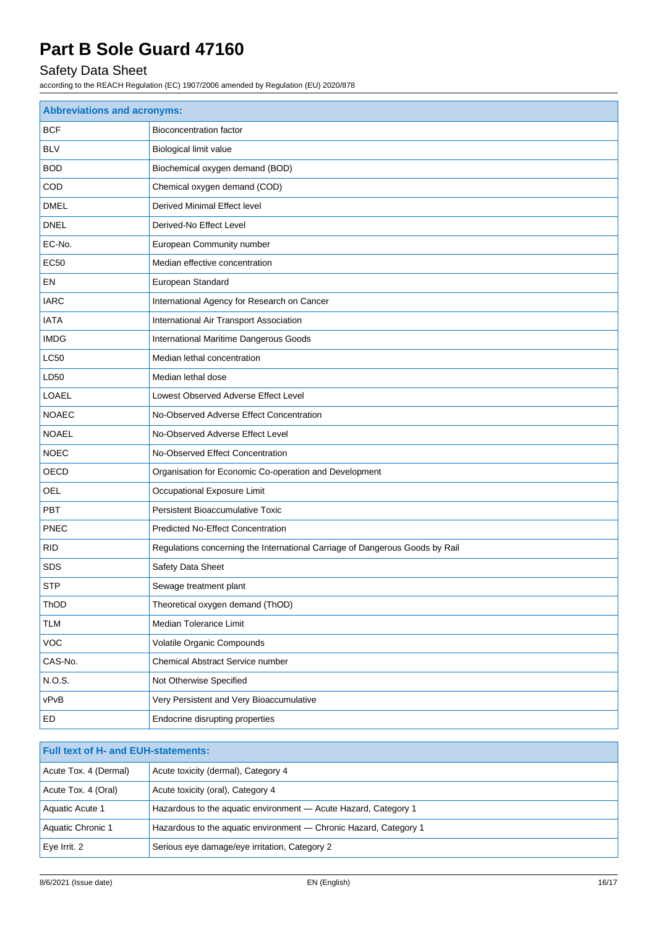## Safety Data Sheet

| <b>Abbreviations and acronyms:</b> |                                                                              |  |  |
|------------------------------------|------------------------------------------------------------------------------|--|--|
| <b>BCF</b>                         | <b>Bioconcentration factor</b>                                               |  |  |
| <b>BLV</b>                         | <b>Biological limit value</b>                                                |  |  |
| <b>BOD</b>                         | Biochemical oxygen demand (BOD)                                              |  |  |
| COD                                | Chemical oxygen demand (COD)                                                 |  |  |
| <b>DMEL</b>                        | Derived Minimal Effect level                                                 |  |  |
| <b>DNEL</b>                        | Derived-No Effect Level                                                      |  |  |
| EC-No.                             | European Community number                                                    |  |  |
| <b>EC50</b>                        | Median effective concentration                                               |  |  |
| EN                                 | European Standard                                                            |  |  |
| <b>IARC</b>                        | International Agency for Research on Cancer                                  |  |  |
| <b>IATA</b>                        | International Air Transport Association                                      |  |  |
| <b>IMDG</b>                        | International Maritime Dangerous Goods                                       |  |  |
| <b>LC50</b>                        | Median lethal concentration                                                  |  |  |
| LD50                               | Median lethal dose                                                           |  |  |
| <b>LOAEL</b>                       | Lowest Observed Adverse Effect Level                                         |  |  |
| <b>NOAEC</b>                       | No-Observed Adverse Effect Concentration                                     |  |  |
| <b>NOAEL</b>                       | No-Observed Adverse Effect Level                                             |  |  |
| <b>NOEC</b>                        | No-Observed Effect Concentration                                             |  |  |
| OECD                               | Organisation for Economic Co-operation and Development                       |  |  |
| <b>OEL</b>                         | Occupational Exposure Limit                                                  |  |  |
| PBT                                | Persistent Bioaccumulative Toxic                                             |  |  |
| <b>PNEC</b>                        | <b>Predicted No-Effect Concentration</b>                                     |  |  |
| <b>RID</b>                         | Regulations concerning the International Carriage of Dangerous Goods by Rail |  |  |
| <b>SDS</b>                         | Safety Data Sheet                                                            |  |  |
| <b>STP</b>                         | Sewage treatment plant                                                       |  |  |
| ThOD                               | Theoretical oxygen demand (ThOD)                                             |  |  |
| <b>TLM</b>                         | Median Tolerance Limit                                                       |  |  |
| VOC                                | Volatile Organic Compounds                                                   |  |  |
| CAS-No.                            | Chemical Abstract Service number                                             |  |  |
| N.O.S.                             | Not Otherwise Specified                                                      |  |  |
| vPvB                               | Very Persistent and Very Bioaccumulative                                     |  |  |
| ED                                 | Endocrine disrupting properties                                              |  |  |

| <b>Full text of H- and EUH-statements:</b> |                                                                   |  |
|--------------------------------------------|-------------------------------------------------------------------|--|
| Acute Tox. 4 (Dermal)                      | Acute toxicity (dermal), Category 4                               |  |
| Acute Tox. 4 (Oral)                        | Acute toxicity (oral), Category 4                                 |  |
| Aquatic Acute 1                            | Hazardous to the aquatic environment - Acute Hazard, Category 1   |  |
| Aquatic Chronic 1                          | Hazardous to the aquatic environment — Chronic Hazard, Category 1 |  |
| $Eve$ Irrit. 2                             | Serious eye damage/eye irritation, Category 2                     |  |